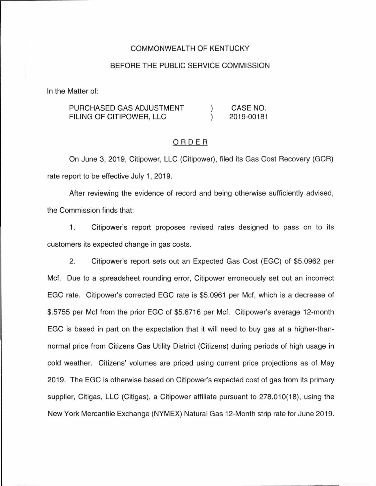#### COMMONWEALTH OF KENTUCKY

### BEFORE THE PUBLIC SERVICE COMMISSION

In the Matter of:

| PURCHASED GAS ADJUSTMENT | CASE NO.   |
|--------------------------|------------|
| FILING OF CITIPOWER. LLC | 2019-00181 |

#### ORDER

On June 3, 2019, Citipower, LLC (Citipower), filed its Gas Cost Recovery (GCR) rate report to be effective July 1, 2019.

After reviewing the evidence of record and being otherwise sufficiently advised, the Commission finds that:

1. Citipower's report proposes revised rates designed to pass on to its customers its expected change in gas costs.

2. Citipower's report sets out an Expected Gas Cost (EGC) of \$5.0962 per Met. Due to a spreadsheet rounding error, Citipower erroneously set out an incorrect EGC rate. Citipower's corrected EGC rate is \$5.0961 per Met, which is a decrease of \$.5755 per Met from the prior EGC of \$5.6716 per Met. Citipower's average 12-month EGC is based in part on the expectation that it will need to buy gas at a higher-thannormal price from Citizens Gas Utility District (Citizens) during periods of high usage in cold weather. Citizens' volumes are priced using current price projections as of May 2019. The EGC is otherwise based on Citipower's expected cost of gas from its primary supplier, Citigas, LLC (Citigas), a Citipower affiliate pursuant to 278.010(18), using the New York Mercantile Exchange (NYMEX) Natural Gas 12-Month strip rate for June 2019.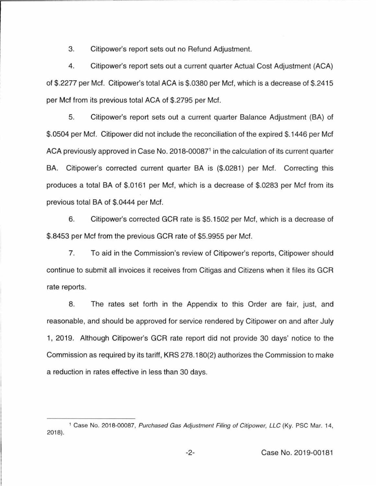3. Citipower's report sets out no Refund Adjustment.

4. Citipower's report sets out a current quarter Actual Cost Adjustment (ACA) of \$.2277 per Met. Citipower's total ACA is \$.0380 per Met, which is a decrease of \$.2415 per Met from its previous total ACA of \$.2795 per Met.

5. Citipower's report sets out a current quarter Balance Adjustment (BA) of \$.0504 per Met. Citipower did not include the reconciliation of the expired \$.1446 per Met ACA previously approved in Case No. 2018-00087<sup>1</sup> in the calculation of its current quarter BA. Citipower's corrected current quarter BA is (\$.0281) per Mcf. Correcting this produces a total BA of \$.0161 per Met, which is a decrease of \$.0283 per Met from its previous total BA of \$.0444 per Met.

6. Citipower's corrected GCR rate is \$5.1502 per Met, which is a decrease of \$.8453 per Met from the previous GCR rate of \$5.9955 per Mcf.

7. To aid in the Commission's review of Citipower's reports, Citipower should continue to submit all invoices it receives from Citigas and Citizens when it files its GCR rate reports.

8. The rates set forth in the Appendix to this Order are fair, just, and reasonable, and should be approved for service rendered by Citipower on and after July 1, 2019. Although Citipower's GCR rate report did not provide 30 days' notice to the Commission as required by its tariff, KRS 278.180(2) authorizes the Commission to make a reduction in rates effective in less than 30 days.

<sup>&</sup>lt;sup>1</sup> Case No. 2018-00087, Purchased Gas Adjustment Filing of Citipower, LLC (Ky. PSC Mar. 14, 2018).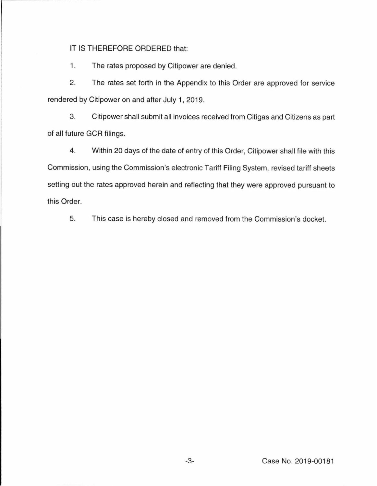## IT IS THEREFORE ORDERED that:

1. The rates proposed by Citipower are denied.

2. The rates set forth in the Appendix to this Order are approved for service rendered by Citipower on and after July 1, 2019.

3. Citipower shall submit all invoices received from Citigas and Citizens as part of all future GCR filings.

4. Within 20 days of the date of entry of this Order, Citipower shall file with this Commission, using the Commission's electronic Tariff Filing System, revised tariff sheets setting out the rates approved herein and reflecting that they were approved pursuant to this Order.

5. This case is hereby closed and removed from the Commission's docket.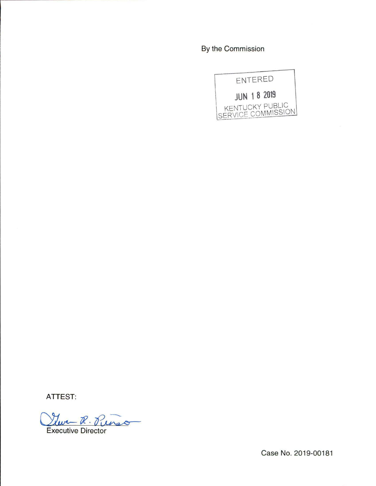By the Commission



**ATTEST:** 

Twe R. Punso

Case No. 2019-00181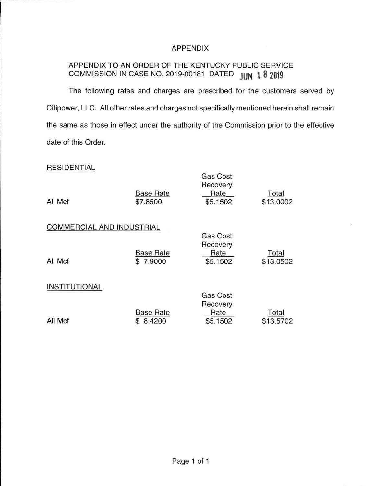## APPENDIX

# APPENDIX TO AN ORDER OF THE KENTUCKY PUBLIC SERVICE COMMISSION IN CASE NO. 2019-00181 DATED **JUN \ 8 2019**

The following rates and charges are prescribed for the customers served by Citipower, LLC. All other rates and charges not specifically mentioned herein shall remain the same as those in effect under the authority of the Commission prior to the effective date of this Order.

Gas Cost

### RESIDENTIAL

| All Mcf                   | <b>Base Rate</b><br>\$7.8500 | uuu uuu<br>Recovery<br>Rate<br>\$5.1502 | Total<br>\$13.0002 |
|---------------------------|------------------------------|-----------------------------------------|--------------------|
| COMMERCIAL AND INDUSTRIAL |                              | <b>Gas Cost</b>                         |                    |
| All Mcf                   | <b>Base Rate</b><br>\$7.9000 | Recovery<br>Rate<br>\$5.1502            | Total<br>\$13.0502 |
| INSTITUTIONAL             |                              | Gas Cost                                |                    |
| All Mcf                   | <b>Base Rate</b><br>8.4200   | Recovery<br>Rate<br>\$5.1502            | Total<br>\$13.5702 |